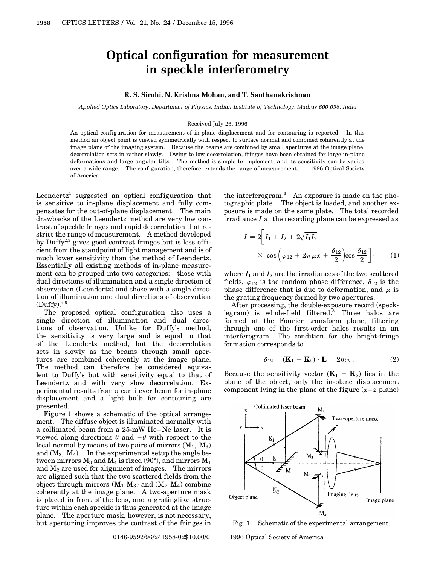## **Optical configuration for measurement in speckle interferometry**

## **R. S. Sirohi, N. Krishna Mohan, and T. Santhanakrishnan**

*Applied Optics Laboratory, Department of Physics, Indian Institute of Technology, Madras 600 036, India*

## Received July 26, 1996

An optical configuration for measurement of in-plane displacement and for contouring is reported. In this method an object point is viewed symmetrically with respect to surface normal and combined coherently at the image plane of the imaging system. Because the beams are combined by small apertures at the image plane, decorrelation sets in rather slowly. Owing to low decorrelation, fringes have been obtained for large in-plane deformations and large angular tilts. The method is simple to implement, and its sensitivity can be varied over a wide range. The configuration, therefore, extends the range of measurement.  $© 1996 Optical Society$ of America

Leendertz<sup>1</sup> suggested an optical configuration that is sensitive to in-plane displacement and fully compensates for the out-of-plane displacement. The main drawbacks of the Leendertz method are very low contrast of speckle fringes and rapid decorrelation that restrict the range of measurement. A method developed by Duffy<sup>2,3</sup> gives good contrast fringes but is less efficient from the standpoint of light management and is of much lower sensitivity than the method of Leendertz. Essentially all existing methods of in-plane measurement can be grouped into two categories: those with dual directions of illumination and a single direction of observation (Leendertz) and those with a single direction of illumination and dual directions of observation  $(Duffy).$ <sup>4,5</sup>

The proposed optical configuration also uses a single direction of illumination and dual directions of observation. Unlike for Duffy's method, the sensitivity is very large and is equal to that of the Leendertz method, but the decorrelation sets in slowly as the beams through small apertures are combined coherently at the image plane. The method can therefore be considered equivalent to Duffy's but with sensitivity equal to that of Leendertz and with very slow decorrelation. Experimental results from a cantilever beam for in-plane displacement and a light bulb for contouring are presented.

Figure 1 shows a schematic of the optical arrangement. The diffuse object is illuminated normally with a collimated beam from a 25-mW He–Ne laser. It is viewed along directions  $\theta$  and  $-\theta$  with respect to the local normal by means of two pairs of mirrors  $(M_1, M_3)$ and  $(M_2, M_4)$ . In the experimental setup the angle between mirrors  $M_3$  and  $M_4$  is fixed (90 $^{\circ}$ ), and mirrors  $M_1$ and  $M_2$  are used for alignment of images. The mirrors are aligned such that the two scattered fields from the object through mirrors  $(M_1 M_3)$  and  $(M_2 M_4)$  combine coherently at the image plane. A two-aperture mask is placed in front of the lens, and a gratinglike structure within each speckle is thus generated at the image plane. The aperture mask, however, is not necessary, but aperturing improves the contrast of the fringes in

the interferogram. $6$  An exposure is made on the photographic plate. The object is loaded, and another exposure is made on the same plate. The total recorded irradiance *I* at the recording plane can be expressed as

$$
I = 2\left[I_1 + I_2 + 2\sqrt{I_1 I_2}\right]
$$

$$
\times \cos\left(\varphi_{12} + 2\pi\mu x + \frac{\delta_{12}}{2}\right)\cos\frac{\delta_{12}}{2}\right], \qquad (1)
$$

where  $I_1$  and  $I_2$  are the irradiances of the two scattered fields,  $\varphi_{12}$  is the random phase difference,  $\delta_{12}$  is the phase difference that is due to deformation, and  $\mu$  is the grating frequency formed by two apertures.

After processing, the double-exposure record (specklegram) is whole-field filtered.<sup>5</sup> Three halos are formed at the Fourier transform plane; filtering through one of the first-order halos results in an interferogram. The condition for the bright-fringe formation corresponds to

$$
\delta_{12} = (\mathbf{K}_1 - \mathbf{K}_2) \cdot \mathbf{L} = 2m\pi. \tag{2}
$$

Because the sensitivity vector  $(\mathbf{K}_1 - \mathbf{K}_2)$  lies in the plane of the object, only the in-plane displacement component lying in the plane of the figure  $(x-z)$  plane)



Fig. 1. Schematic of the experimental arrangement.